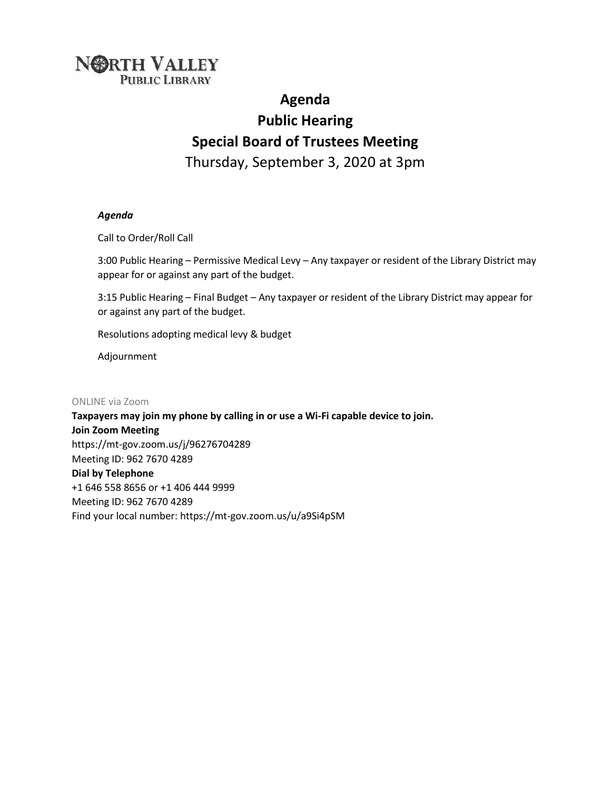# **NORTH VALLEY PUBLIC LIBRARY**

# **Agenda Public Hearing Special Board of Trustees Meeting**  Thursday, September 3, 2020 at 3pm

#### *Agenda*

Call to Order/Roll Call

3:00 Public Hearing – Permissive Medical Levy – Any taxpayer or resident of the Library District may appear for or against any part of the budget.

3:15 Public Hearing – Final Budget – Any taxpayer or resident of the Library District may appear for or against any part of the budget.

Resolutions adopting medical levy & budget

Adjournment

ONLINE via Zoom

**Taxpayers may join my phone by calling in or use a Wi-Fi capable device to join. Join Zoom Meeting**  https://mt-gov.zoom.us/j/96276704289 Meeting ID: 962 7670 4289 **Dial by Telephone**  +1 646 558 8656 or +1 406 444 9999 Meeting ID: 962 7670 4289 Find your local number: https://mt-gov.zoom.us/u/a9Si4pSM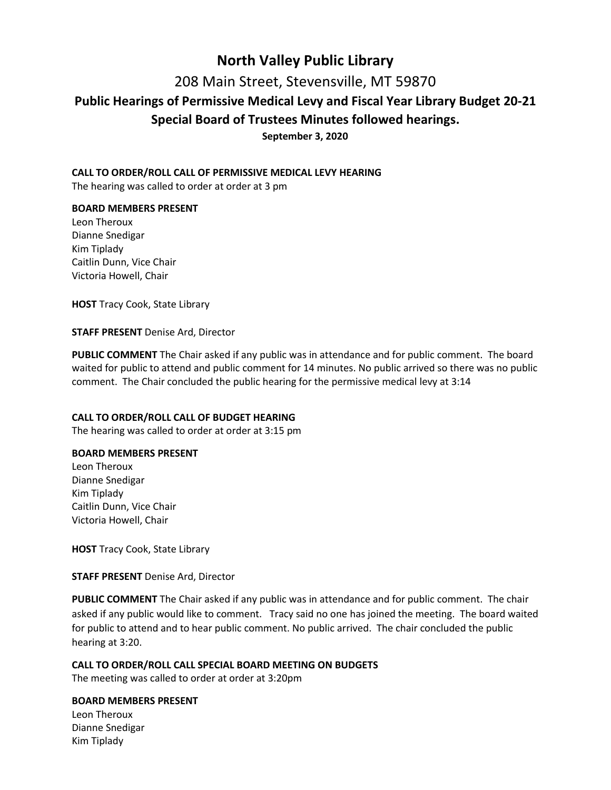# **North Valley Public Library**

208 Main Street, Stevensville, MT 59870

### **Public Hearings of Permissive Medical Levy and Fiscal Year Library Budget 20-21**

### **Special Board of Trustees Minutes followed hearings.**

**September 3, 2020** 

#### **CALL TO ORDER/ROLL CALL OF PERMISSIVE MEDICAL LEVY HEARING**

The hearing was called to order at order at 3 pm

#### **BOARD MEMBERS PRESENT**

Leon Theroux Dianne Snedigar Kim Tiplady Caitlin Dunn, Vice Chair Victoria Howell, Chair

**HOST** Tracy Cook, State Library

#### **STAFF PRESENT** Denise Ard, Director

**PUBLIC COMMENT** The Chair asked if any public was in attendance and for public comment. The board waited for public to attend and public comment for 14 minutes. No public arrived so there was no public comment. The Chair concluded the public hearing for the permissive medical levy at 3:14

#### **CALL TO ORDER/ROLL CALL OF BUDGET HEARING**

The hearing was called to order at order at 3:15 pm

#### **BOARD MEMBERS PRESENT**

Leon Theroux Dianne Snedigar Kim Tiplady Caitlin Dunn, Vice Chair Victoria Howell, Chair

**HOST** Tracy Cook, State Library

**STAFF PRESENT** Denise Ard, Director

**PUBLIC COMMENT** The Chair asked if any public was in attendance and for public comment. The chair asked if any public would like to comment. Tracy said no one has joined the meeting. The board waited for public to attend and to hear public comment. No public arrived. The chair concluded the public hearing at 3:20.

#### **CALL TO ORDER/ROLL CALL SPECIAL BOARD MEETING ON BUDGETS**

The meeting was called to order at order at 3:20pm

#### **BOARD MEMBERS PRESENT**

Leon Theroux Dianne Snedigar Kim Tiplady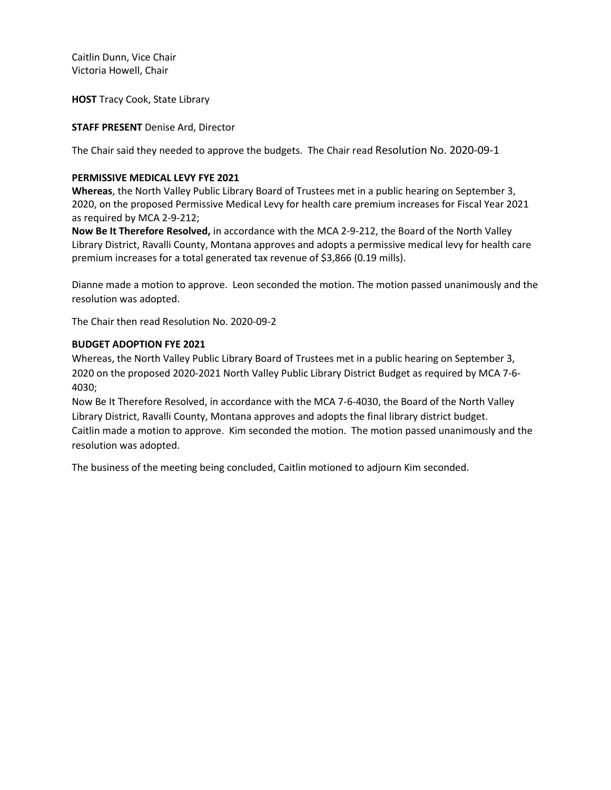Caitlin Dunn, Vice Chair Victoria Howell, Chair

**HOST** Tracy Cook, State Library

#### **STAFF PRESENT** Denise Ard, Director

The Chair said they needed to approve the budgets. The Chair read Resolution No. 2020-09-1

#### **PERMISSIVE MEDICAL LEVY FYE 2021**

**Whereas**, the North Valley Public Library Board of Trustees met in a public hearing on September 3, 2020, on the proposed Permissive Medical Levy for health care premium increases for Fiscal Year 2021 as required by MCA 2-9-212;

**Now Be It Therefore Resolved,** in accordance with the MCA 2-9-212, the Board of the North Valley Library District, Ravalli County, Montana approves and adopts a permissive medical levy for health care premium increases for a total generated tax revenue of \$3,866 (0.19 mills).

Dianne made a motion to approve. Leon seconded the motion. The motion passed unanimously and the resolution was adopted.

The Chair then read Resolution No. 2020-09-2

#### **BUDGET ADOPTION FYE 2021**

Whereas, the North Valley Public Library Board of Trustees met in a public hearing on September 3, 2020 on the proposed 2020-2021 North Valley Public Library District Budget as required by MCA 7-6- 4030;

Now Be It Therefore Resolved, in accordance with the MCA 7-6-4030, the Board of the North Valley Library District, Ravalli County, Montana approves and adopts the final library district budget. Caitlin made a motion to approve. Kim seconded the motion. The motion passed unanimously and the resolution was adopted.

The business of the meeting being concluded, Caitlin motioned to adjourn Kim seconded.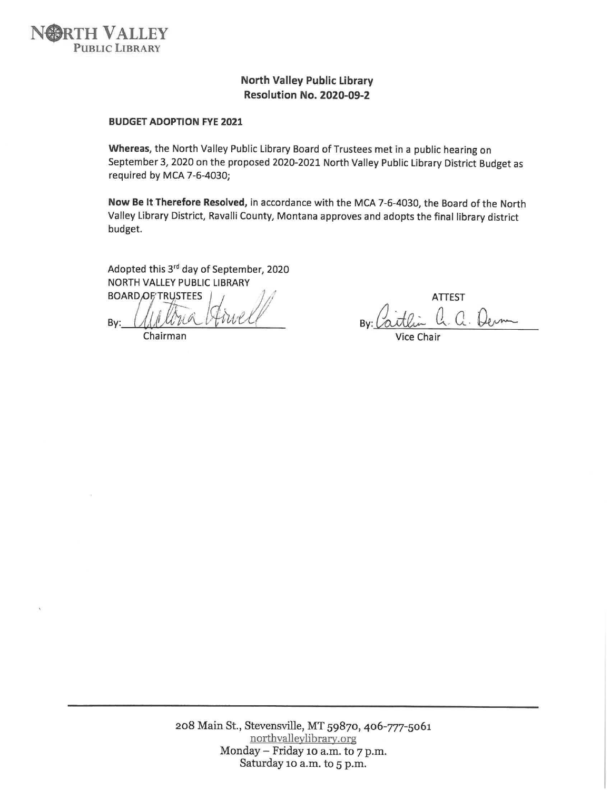

#### **North Valley Public Library** Resolution No. 2020-09-2

#### **BUDGET ADOPTION FYE 2021**

Whereas, the North Valley Public Library Board of Trustees met in a public hearing on September 3, 2020 on the proposed 2020-2021 North Valley Public Library District Budget as required by MCA 7-6-4030;

Now Be It Therefore Resolved, in accordance with the MCA 7-6-4030, the Board of the North Valley Library District, Ravalli County, Montana approves and adopts the final library district budget.

Adopted this 3rd day of September, 2020 NORTH VALLEY PUBLIC LIBRARY

**BOARD**OF/TRUSTEES By:

Chairman

**ATTEST** 

208 Main St., Stevensville, MT 59870, 406-777-5061 northvalleylibrary.org Monday – Friday 10 a.m. to 7 p.m. Saturday 10 a.m. to 5 p.m.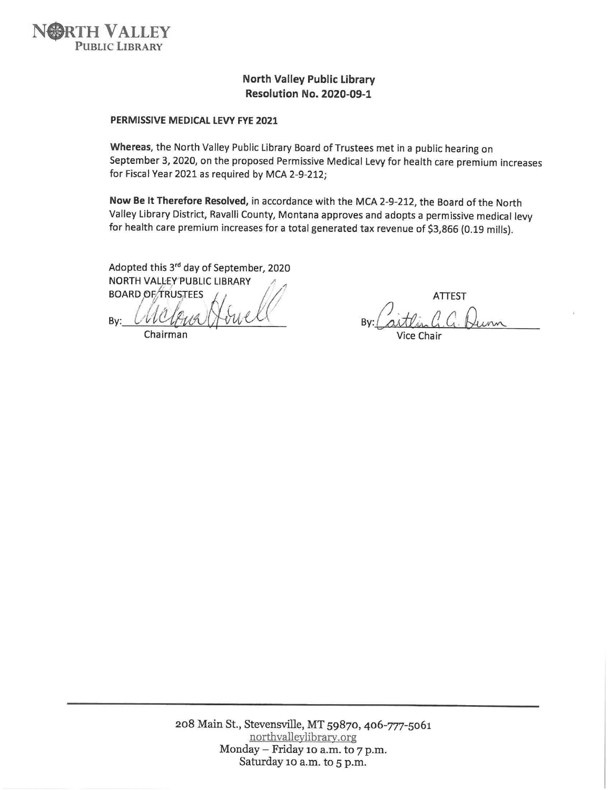

### **North Valley Public Library Resolution No. 2020-09-1**

#### PERMISSIVE MEDICAL LEVY FYE 2021

Whereas, the North Valley Public Library Board of Trustees met in a public hearing on September 3, 2020, on the proposed Permissive Medical Levy for health care premium increases for Fiscal Year 2021 as required by MCA 2-9-212;

Now Be It Therefore Resolved, in accordance with the MCA 2-9-212, the Board of the North Valley Library District, Ravalli County, Montana approves and adopts a permissive medical levy for health care premium increases for a total generated tax revenue of \$3,866 (0.19 mills).

Adopted this 3rd day of September, 2020 NORTH VALLEY PUBLIC LIBRARY

**BOARD OF TRUSTEES** By:

Chairman

**ATTEST** 

Vice Chair

208 Main St., Stevensville, MT 59870, 406-777-5061 northvalleylibrary.org Monday - Friday 10 a.m. to 7 p.m. Saturday 10 a.m. to 5 p.m.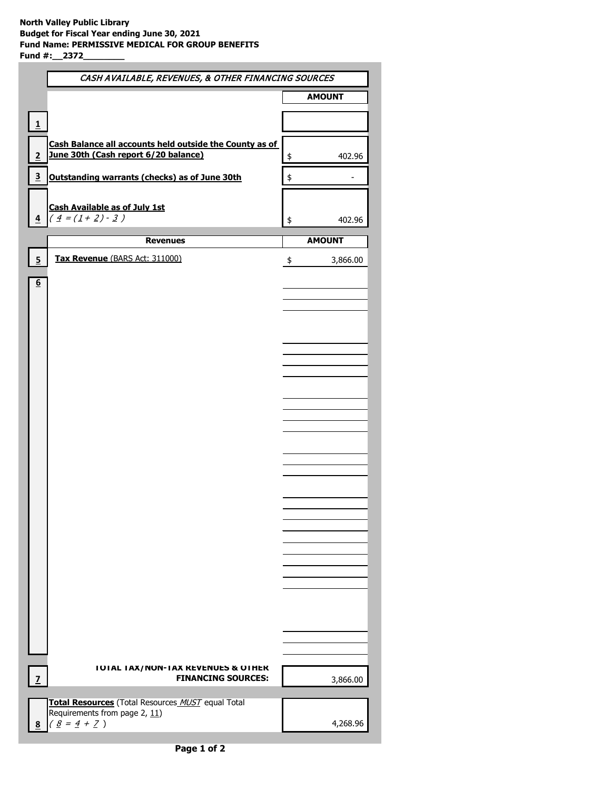|                         | CASH AVAILABLE, REVENUES, & OTHER FINANCING SOURCES                                |                |  |  |
|-------------------------|------------------------------------------------------------------------------------|----------------|--|--|
|                         |                                                                                    | <b>AMOUNT</b>  |  |  |
| 1                       |                                                                                    |                |  |  |
|                         | Cash Balance all accounts held outside the County as of                            |                |  |  |
| 2                       | June 30th (Cash report 6/20 balance)                                               | \$<br>402.96   |  |  |
| $\overline{\mathbf{3}}$ | Outstanding warrants (checks) as of June 30th                                      | \$             |  |  |
|                         | <b>Cash Available as of July 1st</b>                                               |                |  |  |
|                         | $\left( \frac{4-(1+2)\cdot 3}{2} \right)$                                          | 402.96<br>\$   |  |  |
|                         | <b>Revenues</b>                                                                    | <b>AMOUNT</b>  |  |  |
| 5                       | Tax Revenue (BARS Act: 311000)                                                     | 3,866.00<br>\$ |  |  |
| <u>6</u>                |                                                                                    |                |  |  |
|                         |                                                                                    |                |  |  |
|                         |                                                                                    |                |  |  |
|                         |                                                                                    |                |  |  |
|                         |                                                                                    |                |  |  |
|                         |                                                                                    |                |  |  |
|                         |                                                                                    |                |  |  |
|                         |                                                                                    |                |  |  |
|                         |                                                                                    |                |  |  |
|                         |                                                                                    |                |  |  |
|                         |                                                                                    |                |  |  |
|                         |                                                                                    |                |  |  |
|                         |                                                                                    |                |  |  |
|                         |                                                                                    |                |  |  |
|                         |                                                                                    |                |  |  |
|                         |                                                                                    |                |  |  |
|                         |                                                                                    |                |  |  |
|                         |                                                                                    |                |  |  |
|                         |                                                                                    |                |  |  |
|                         |                                                                                    |                |  |  |
|                         |                                                                                    |                |  |  |
|                         | <b>IUIAL IAX/NUN-IAX KEVENUES &amp; UIHEK</b><br><b>FINANCING SOURCES:</b>         |                |  |  |
|                         |                                                                                    | 3,866.00       |  |  |
|                         | Total Resources (Total Resources MUST equal Total<br>Requirements from page 2, 11) |                |  |  |
|                         | $(\underline{8} = \underline{4} + \underline{7})$                                  | 4,268.96       |  |  |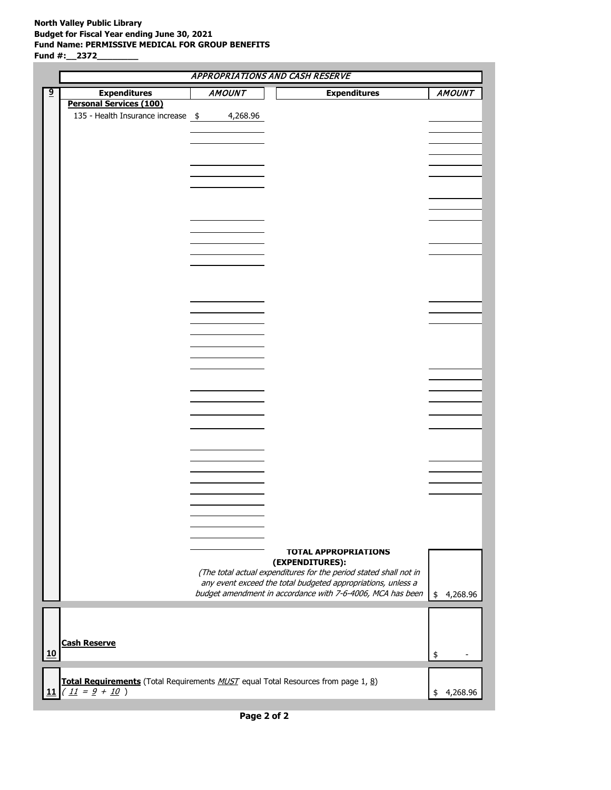#### **North Valley Public Library Budget for Fiscal Year ending June 30, 2021 Fund Name: PERMISSIVE MEDICAL FOR GROUP BENEFITS Fund #:\_\_2372\_\_\_\_\_\_\_\_**

|                |                                                                                   |               | <b>APPROPRIATIONS AND CASH RESERVE</b>                            |                |
|----------------|-----------------------------------------------------------------------------------|---------------|-------------------------------------------------------------------|----------------|
| $\overline{9}$ | <b>Expenditures</b>                                                               | <b>AMOUNT</b> | <b>Expenditures</b>                                               | <b>AMOUNT</b>  |
|                | <b>Personal Services (100)</b>                                                    |               |                                                                   |                |
|                | 135 - Health Insurance increase \$                                                | 4,268.96      |                                                                   |                |
|                |                                                                                   |               |                                                                   |                |
|                |                                                                                   |               |                                                                   |                |
|                |                                                                                   |               |                                                                   |                |
|                |                                                                                   |               |                                                                   |                |
|                |                                                                                   |               |                                                                   |                |
|                |                                                                                   |               |                                                                   |                |
|                |                                                                                   |               |                                                                   |                |
|                |                                                                                   |               |                                                                   |                |
|                |                                                                                   |               |                                                                   |                |
|                |                                                                                   |               |                                                                   |                |
|                |                                                                                   |               |                                                                   |                |
|                |                                                                                   |               |                                                                   |                |
|                |                                                                                   |               |                                                                   |                |
|                |                                                                                   |               |                                                                   |                |
|                |                                                                                   |               |                                                                   |                |
|                |                                                                                   |               |                                                                   |                |
|                |                                                                                   |               |                                                                   |                |
|                |                                                                                   |               |                                                                   |                |
|                |                                                                                   |               |                                                                   |                |
|                |                                                                                   |               |                                                                   |                |
|                |                                                                                   |               |                                                                   |                |
|                |                                                                                   |               |                                                                   |                |
|                |                                                                                   |               |                                                                   |                |
|                |                                                                                   |               |                                                                   |                |
|                |                                                                                   |               |                                                                   |                |
|                |                                                                                   |               |                                                                   |                |
|                |                                                                                   |               |                                                                   |                |
|                |                                                                                   |               |                                                                   |                |
|                |                                                                                   |               |                                                                   |                |
|                |                                                                                   |               |                                                                   |                |
|                |                                                                                   |               |                                                                   |                |
|                |                                                                                   |               |                                                                   |                |
|                |                                                                                   |               |                                                                   |                |
|                |                                                                                   |               |                                                                   |                |
|                |                                                                                   |               |                                                                   |                |
|                |                                                                                   |               |                                                                   |                |
|                |                                                                                   |               |                                                                   |                |
|                |                                                                                   |               | <b>TOTAL APPROPRIATIONS</b>                                       |                |
|                |                                                                                   |               | (EXPENDITURES):                                                   |                |
|                |                                                                                   |               | (The total actual expenditures for the period stated shall not in |                |
|                |                                                                                   |               | any event exceed the total budgeted appropriations, unless a      |                |
|                |                                                                                   |               | budget amendment in accordance with 7-6-4006, MCA has been        | 4,268.96<br>\$ |
|                |                                                                                   |               |                                                                   |                |
|                |                                                                                   |               |                                                                   |                |
|                |                                                                                   |               |                                                                   |                |
|                | <b>Cash Reserve</b>                                                               |               |                                                                   |                |
| 10             |                                                                                   |               |                                                                   | \$             |
|                |                                                                                   |               |                                                                   |                |
|                |                                                                                   |               |                                                                   |                |
|                | Total Requirements (Total Requirements MUST equal Total Resources from page 1, 8) |               |                                                                   |                |
| 11             | $(11 = 9 + 10)$                                                                   |               |                                                                   | 4,268.96<br>\$ |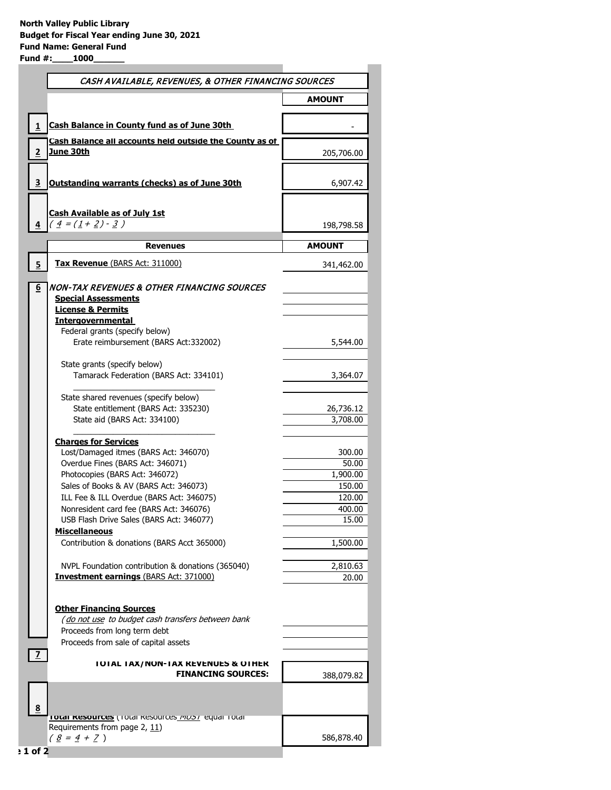| CASH AVAILABLE, REVENUES, & OTHER FINANCING SOURCES                                 |            |  |
|-------------------------------------------------------------------------------------|------------|--|
|                                                                                     | AMOUNT     |  |
| Cash Balance in County fund as of June 30th                                         |            |  |
| Cash Balance all accounts held outside the County as of<br><u>June 30th</u>         |            |  |
|                                                                                     | 205,706.00 |  |
| Outstanding warrants (checks) as of June 30th                                       | 6,907.42   |  |
| <b>Cash Available as of July 1st</b>                                                |            |  |
| $\left( \frac{4}{5} = (\frac{1}{2} + \frac{2}{5}) - \frac{3}{5} \right)$            | 198,798.58 |  |
|                                                                                     |            |  |
| <b>Revenues</b>                                                                     | AMOUNT     |  |
| <b>Tax Revenue (BARS Act: 311000)</b>                                               | 341,462.00 |  |
| INON-TAX REVENUES & OTHER FINANCING SOURCES                                         |            |  |
| <b>Special Assessments</b>                                                          |            |  |
| <b>License &amp; Permits</b>                                                        |            |  |
| <b>Intergovernmental</b>                                                            |            |  |
| Federal grants (specify below)                                                      |            |  |
| Erate reimbursement (BARS Act:332002)                                               | 5,544.00   |  |
| State grants (specify below)                                                        |            |  |
| Tamarack Federation (BARS Act: 334101)                                              | 3,364.07   |  |
|                                                                                     |            |  |
| State shared revenues (specify below)                                               |            |  |
| State entitlement (BARS Act: 335230)                                                | 26,736.12  |  |
| State aid (BARS Act: 334100)                                                        | 3,708.00   |  |
| <b>Charges for Services</b>                                                         |            |  |
| Lost/Damaged itmes (BARS Act: 346070)                                               | 300.00     |  |
| Overdue Fines (BARS Act: 346071)                                                    | 50.00      |  |
| Photocopies (BARS Act: 346072)                                                      | 1,900.00   |  |
| Sales of Books & AV (BARS Act: 346073)                                              | 150.00     |  |
| ILL Fee & ILL Overdue (BARS Act: 346075)                                            | 120.00     |  |
| Nonresident card fee (BARS Act: 346076)                                             | 400.00     |  |
| USB Flash Drive Sales (BARS Act: 346077)                                            | 15.00      |  |
| <b>Miscellaneous</b>                                                                |            |  |
| Contribution & donations (BARS Acct 365000)                                         | 1,500.00   |  |
| NVPL Foundation contribution & donations (365040)                                   | 2,810.63   |  |
| <b>Investment earnings (BARS Act: 371000)</b>                                       | 20.00      |  |
|                                                                                     |            |  |
| <b>Other Financing Sources</b><br>(do not use to budget cash transfers between bank |            |  |
| Proceeds from long term debt                                                        |            |  |
| Proceeds from sale of capital assets                                                |            |  |
|                                                                                     |            |  |
| <b>IUIAL IAX/NON-IAX REVENUES &amp; OTHER</b>                                       |            |  |
| <b>FINANCING SOURCES:</b>                                                           | 388,079.82 |  |
|                                                                                     |            |  |
|                                                                                     |            |  |
| <b>TOTAI RESOUTCES</b> (TOtal Resources <i>PIUST</i> equal TOtal                    |            |  |
| Requirements from page 2, 11)<br>$(8 = 4 + 7)$                                      | 586,878.40 |  |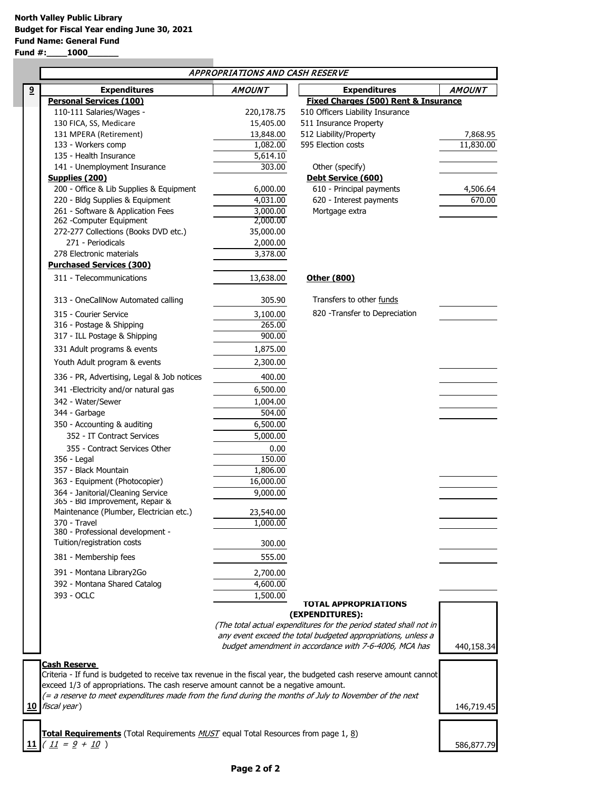**Fund #:\_\_\_\_1000\_\_\_\_\_\_**

|                                                                                                                                                                                                         |                                                                                                        | APPROPRIATIONS AND CASH RESERVE |                                                                   |                       |
|---------------------------------------------------------------------------------------------------------------------------------------------------------------------------------------------------------|--------------------------------------------------------------------------------------------------------|---------------------------------|-------------------------------------------------------------------|-----------------------|
| 9                                                                                                                                                                                                       | <b>Expenditures</b>                                                                                    | <b>AMOUNT</b>                   | <b>Expenditures</b>                                               | <b>AMOUNT</b>         |
|                                                                                                                                                                                                         | <b>Personal Services (100)</b>                                                                         |                                 | <b>Fixed Charges (500) Rent &amp; Insurance</b>                   |                       |
|                                                                                                                                                                                                         | 110-111 Salaries/Wages -                                                                               | 220,178.75                      | 510 Officers Liability Insurance                                  |                       |
|                                                                                                                                                                                                         | 130 FICA, SS, Medicare<br>131 MPERA (Retirement)                                                       | 15,405.00                       | 511 Insurance Property                                            |                       |
|                                                                                                                                                                                                         | 133 - Workers comp                                                                                     | 13,848.00<br>1,082.00           | 512 Liability/Property<br>595 Election costs                      | 7,868.95<br>11,830.00 |
|                                                                                                                                                                                                         | 135 - Health Insurance                                                                                 | 5,614.10                        |                                                                   |                       |
|                                                                                                                                                                                                         | 141 - Unemployment Insurance                                                                           | 303.00                          | Other (specify)                                                   |                       |
|                                                                                                                                                                                                         | Supplies (200)                                                                                         |                                 | Debt Service (600)                                                |                       |
|                                                                                                                                                                                                         | 200 - Office & Lib Supplies & Equipment                                                                | 6,000.00                        | 610 - Principal payments                                          | 4,506.64              |
|                                                                                                                                                                                                         | 220 - Bldg Supplies & Equipment                                                                        | 4,031.00                        | 620 - Interest payments                                           | 670.00                |
|                                                                                                                                                                                                         | 261 - Software & Application Fees                                                                      | 3,000.00                        | Mortgage extra                                                    |                       |
|                                                                                                                                                                                                         | 262 - Computer Equipment                                                                               | 2,000.00                        |                                                                   |                       |
|                                                                                                                                                                                                         | 272-277 Collections (Books DVD etc.)                                                                   | 35,000.00                       |                                                                   |                       |
|                                                                                                                                                                                                         | 271 - Periodicals                                                                                      | 2,000.00                        |                                                                   |                       |
|                                                                                                                                                                                                         | 278 Electronic materials                                                                               | 3,378.00                        |                                                                   |                       |
|                                                                                                                                                                                                         | <b>Purchased Services (300)</b>                                                                        |                                 |                                                                   |                       |
|                                                                                                                                                                                                         | 311 - Telecommunications                                                                               | 13,638.00                       | Other (800)                                                       |                       |
|                                                                                                                                                                                                         | 313 - OneCallNow Automated calling                                                                     | 305.90                          | Transfers to other funds                                          |                       |
|                                                                                                                                                                                                         | 315 - Courier Service                                                                                  | 3,100.00                        | 820 - Transfer to Depreciation                                    |                       |
|                                                                                                                                                                                                         | 316 - Postage & Shipping                                                                               | 265.00                          |                                                                   |                       |
|                                                                                                                                                                                                         | 317 - ILL Postage & Shipping                                                                           | 900.00                          |                                                                   |                       |
|                                                                                                                                                                                                         | 331 Adult programs & events                                                                            | 1,875.00                        |                                                                   |                       |
|                                                                                                                                                                                                         | Youth Adult program & events                                                                           | 2,300.00                        |                                                                   |                       |
|                                                                                                                                                                                                         | 336 - PR, Advertising, Legal & Job notices                                                             | 400.00                          |                                                                   |                       |
|                                                                                                                                                                                                         | 341 - Electricity and/or natural gas                                                                   | 6,500.00                        |                                                                   |                       |
|                                                                                                                                                                                                         | 342 - Water/Sewer                                                                                      | 1,004.00                        |                                                                   |                       |
|                                                                                                                                                                                                         | 344 - Garbage                                                                                          | 504.00                          |                                                                   |                       |
|                                                                                                                                                                                                         | 350 - Accounting & auditing                                                                            | 6,500.00                        |                                                                   |                       |
|                                                                                                                                                                                                         | 352 - IT Contract Services                                                                             | 5,000.00                        |                                                                   |                       |
|                                                                                                                                                                                                         | 355 - Contract Services Other                                                                          | 0.00                            |                                                                   |                       |
|                                                                                                                                                                                                         | 356 - Legal                                                                                            | 150.00                          |                                                                   |                       |
|                                                                                                                                                                                                         | 357 - Black Mountain                                                                                   | 1,806.00                        |                                                                   |                       |
|                                                                                                                                                                                                         | 363 - Equipment (Photocopier)                                                                          | 16,000.00                       |                                                                   |                       |
|                                                                                                                                                                                                         | 364 - Janitorial/Cleaning Service<br>365 - Bld Improvement, Repair &                                   | 9,000.00                        |                                                                   |                       |
|                                                                                                                                                                                                         | Maintenance (Plumber, Electrician etc.)                                                                | 23,540.00                       |                                                                   |                       |
|                                                                                                                                                                                                         | 370 - Travel                                                                                           | 1,000.00                        |                                                                   |                       |
|                                                                                                                                                                                                         | 380 - Professional development -                                                                       |                                 |                                                                   |                       |
|                                                                                                                                                                                                         | Tuition/registration costs                                                                             | 300.00                          |                                                                   |                       |
|                                                                                                                                                                                                         | 381 - Membership fees                                                                                  | 555.00                          |                                                                   |                       |
|                                                                                                                                                                                                         | 391 - Montana Library2Go                                                                               | 2,700.00                        |                                                                   |                       |
|                                                                                                                                                                                                         | 392 - Montana Shared Catalog                                                                           | 4,600.00                        |                                                                   |                       |
|                                                                                                                                                                                                         | 393 - OCLC                                                                                             | 1,500.00                        |                                                                   |                       |
|                                                                                                                                                                                                         |                                                                                                        |                                 | <b>TOTAL APPROPRIATIONS</b><br>(EXPENDITURES):                    |                       |
|                                                                                                                                                                                                         |                                                                                                        |                                 | (The total actual expenditures for the period stated shall not in |                       |
|                                                                                                                                                                                                         |                                                                                                        |                                 | any event exceed the total budgeted appropriations, unless a      |                       |
|                                                                                                                                                                                                         |                                                                                                        |                                 | budget amendment in accordance with 7-6-4006, MCA has             | 440,158.34            |
|                                                                                                                                                                                                         |                                                                                                        |                                 |                                                                   |                       |
|                                                                                                                                                                                                         | <b>Cash Reserve</b>                                                                                    |                                 |                                                                   |                       |
| Criteria - If fund is budgeted to receive tax revenue in the fiscal year, the budgeted cash reserve amount cannot<br>exceed 1/3 of appropriations. The cash reserve amount cannot be a negative amount. |                                                                                                        |                                 |                                                                   |                       |
|                                                                                                                                                                                                         | (= a reserve to meet expenditures made from the fund during the months of July to November of the next |                                 |                                                                   |                       |
| fiscal year)<br>10                                                                                                                                                                                      |                                                                                                        |                                 |                                                                   | 146,719.45            |
|                                                                                                                                                                                                         |                                                                                                        |                                 |                                                                   |                       |
|                                                                                                                                                                                                         | Total Requirements (Total Requirements <i>MUST</i> equal Total Resources from page 1, 8)               |                                 |                                                                   |                       |
| 11                                                                                                                                                                                                      | $(\underline{11} = 9 + 10)$                                                                            |                                 |                                                                   | 586,877.79            |
|                                                                                                                                                                                                         |                                                                                                        |                                 |                                                                   |                       |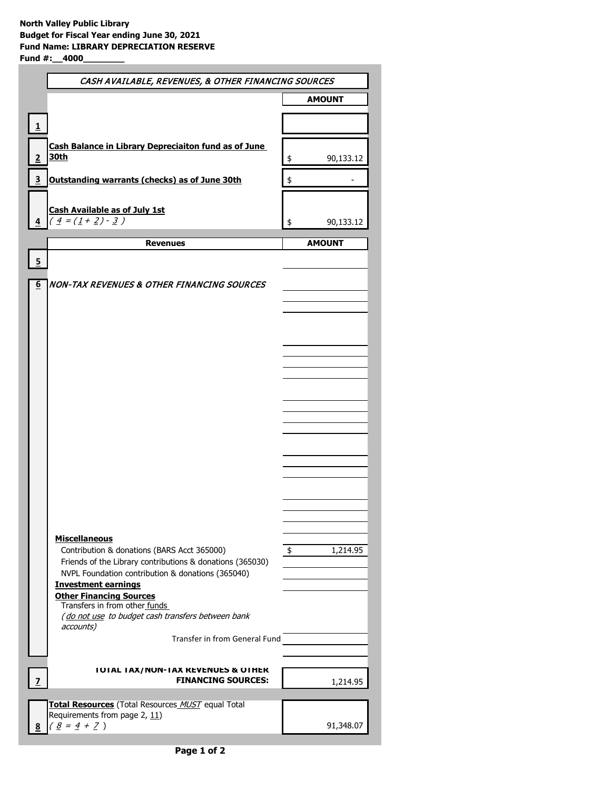|   | CASH AVAILABLE, REVENUES, & OTHER FINANCING SOURCES                                  |               |               |
|---|--------------------------------------------------------------------------------------|---------------|---------------|
|   |                                                                                      | <b>AMOUNT</b> |               |
|   |                                                                                      |               |               |
| 1 |                                                                                      |               |               |
|   | Cash Balance in Library Depreciaiton fund as of June<br><u>30th</u>                  |               |               |
|   |                                                                                      | \$            | 90,133.12     |
| 3 | Outstanding warrants (checks) as of June 30th                                        | \$            |               |
|   |                                                                                      |               |               |
|   | <b>Cash Available as of July 1st</b><br>$\left(\frac{4}{1}=(\frac{1+2}{2})-3\right)$ | \$            | 90,133.12     |
|   |                                                                                      |               |               |
|   | <b>Revenues</b>                                                                      |               | <b>AMOUNT</b> |
| 5 |                                                                                      |               |               |
| 6 | NON-TAX REVENUES & OTHER FINANCING SOURCES                                           |               |               |
|   |                                                                                      |               |               |
|   |                                                                                      |               |               |
|   |                                                                                      |               |               |
|   |                                                                                      |               |               |
|   |                                                                                      |               |               |
|   |                                                                                      |               |               |
|   |                                                                                      |               |               |
|   |                                                                                      |               |               |
|   |                                                                                      |               |               |
|   |                                                                                      |               |               |
|   |                                                                                      |               |               |
|   |                                                                                      |               |               |
|   |                                                                                      |               |               |
|   |                                                                                      |               |               |
|   |                                                                                      |               |               |
|   | <b>Miscellaneous</b><br>Contribution & donations (BARS Acct 365000)                  | \$            | 1,214.95      |
|   | Friends of the Library contributions & donations (365030)                            |               |               |
|   | NVPL Foundation contribution & donations (365040)<br><b>Investment earnings</b>      |               |               |
|   | <b>Other Financing Sources</b>                                                       |               |               |
|   | Transfers in from other funds<br>(do not use to budget cash transfers between bank   |               |               |
|   | accounts)                                                                            |               |               |
|   | Transfer in from General Fund                                                        |               |               |
|   |                                                                                      |               |               |
|   | <b>IUIAL IAX/NUN-IAX KEVENUES &amp; UIHEK</b><br><b>FINANCING SOURCES:</b>           |               | 1,214.95      |
|   |                                                                                      |               |               |
|   | Total Resources (Total Resources MUST equal Total<br>Requirements from page 2, 11)   |               |               |
|   | $(8 = 4 + 7)$                                                                        |               | 91,348.07     |